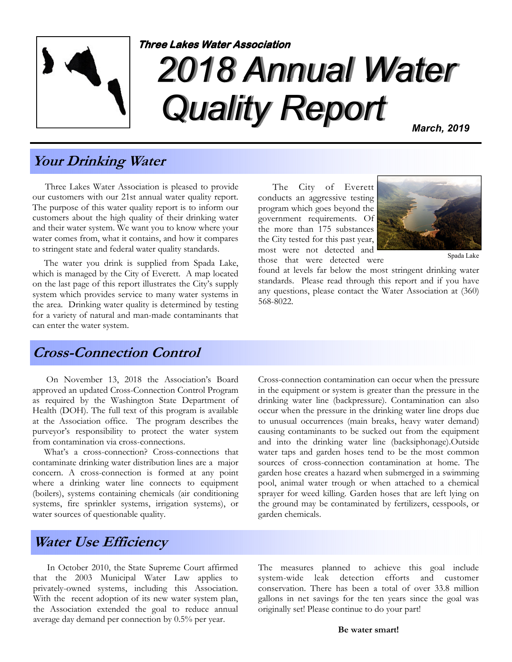

# 2018 Annual Water Quality Report Three Lakes Water Association

March, 2019

#### Your Drinking Water

 Three Lakes Water Association is pleased to provide our customers with our 21st annual water quality report. The purpose of this water quality report is to inform our customers about the high quality of their drinking water and their water system. We want you to know where your water comes from, what it contains, and how it compares to stringent state and federal water quality standards.

 The water you drink is supplied from Spada Lake, which is managed by the City of Everett. A map located on the last page of this report illustrates the City's supply system which provides service to many water systems in the area. Drinking water quality is determined by testing for a variety of natural and man-made contaminants that can enter the water system.

 The City of Everett conducts an aggressive testing program which goes beyond the government requirements. Of the more than 175 substances the City tested for this past year, most were not detected and those that were detected were



Spada Lake

found at levels far below the most stringent drinking water standards. Please read through this report and if you have any questions, please contact the Water Association at (360) 568-8022.

#### Cross-Connection Control

 On November 13, 2018 the Association's Board approved an updated Cross-Connection Control Program as required by the Washington State Department of Health (DOH). The full text of this program is available at the Association office. The program describes the purveyor's responsibility to protect the water system from contamination via cross-connections.

 What's a cross-connection? Cross-connections that contaminate drinking water distribution lines are a major concern. A cross-connection is formed at any point where a drinking water line connects to equipment (boilers), systems containing chemicals (air conditioning systems, fire sprinkler systems, irrigation systems), or water sources of questionable quality.

Cross-connection contamination can occur when the pressure in the equipment or system is greater than the pressure in the drinking water line (backpressure). Contamination can also occur when the pressure in the drinking water line drops due to unusual occurrences (main breaks, heavy water demand) causing contaminants to be sucked out from the equipment and into the drinking water line (backsiphonage).Outside water taps and garden hoses tend to be the most common sources of cross-connection contamination at home. The garden hose creates a hazard when submerged in a swimming pool, animal water trough or when attached to a chemical sprayer for weed killing. Garden hoses that are left lying on the ground may be contaminated by fertilizers, cesspools, or garden chemicals.

#### Water Use Efficiency

 In October 2010, the State Supreme Court affirmed that the 2003 Municipal Water Law applies to privately-owned systems, including this Association. With the recent adoption of its new water system plan, the Association extended the goal to reduce annual average day demand per connection by 0.5% per year.

The measures planned to achieve this goal include system-wide leak detection efforts and customer conservation. There has been a total of over 33.8 million gallons in net savings for the ten years since the goal was originally set! Please continue to do your part!

Be water smart!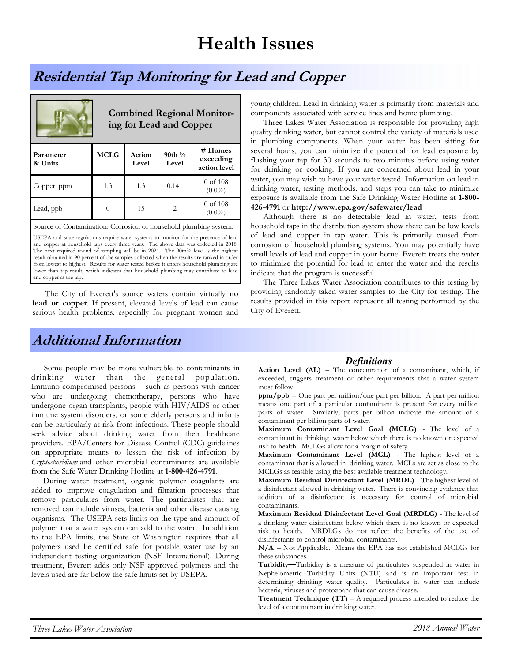## Health Issues

### Residential Tap Monitoring for Lead and Copper

| <b>Combined Regional Monitor-</b><br>ing for Lead and Copper |             |                 |                             |                                      |  |  |  |  |
|--------------------------------------------------------------|-------------|-----------------|-----------------------------|--------------------------------------|--|--|--|--|
| Parameter<br>& Units                                         | <b>MCLG</b> | Action<br>Level | 90th %<br>Level             | # Homes<br>exceeding<br>action level |  |  |  |  |
| Copper, ppm                                                  | 1.3         | 1.3             | 0.141                       | $0$ of $108$<br>$(0.0\%)$            |  |  |  |  |
| Lead, ppb                                                    | 0           | 15              | $\mathcal{D}_{\mathcal{L}}$ | $0$ of $108$<br>$(0.0\%)$            |  |  |  |  |

Source of Contamination: Corrosion of household plumbing system.

USEPA and state regulations require water systems to monitor for the presence of lead and copper at household taps every three years. The above data was collected in 2018. The next required round of sampling will be in 2021. The 90th% level is the highest result obtained in 90 percent of the samples collected when the results are ranked in order from lowest to highest. Results for water tested before it enters household plumbing are lower than tap result, which indicates that household plumbing may contribute to lead and copper at the tap.

The City of Everett's source waters contain virtually no lead or copper. If present, elevated levels of lead can cause serious health problems, especially for pregnant women and

#### Additional Information

 Some people may be more vulnerable to contaminants in drinking water than the general population. Immuno-compromised persons – such as persons with cancer who are undergoing chemotherapy, persons who have undergone organ transplants, people with HIV/AIDS or other immune system disorders, or some elderly persons and infants can be particularly at risk from infections. These people should seek advice about drinking water from their healthcare providers. EPA/Centers for Disease Control (CDC) guidelines on appropriate means to lessen the risk of infection by Cryptosporidium and other microbial contaminants are available from the Safe Water Drinking Hotline at 1-800-426-4791.

 During water treatment, organic polymer coagulants are added to improve coagulation and filtration processes that remove particulates from water. The particulates that are removed can include viruses, bacteria and other disease causing organisms. The USEPA sets limits on the type and amount of polymer that a water system can add to the water. In addition to the EPA limits, the State of Washington requires that all polymers used be certified safe for potable water use by an independent testing organization (NSF International). During treatment, Everett adds only NSF approved polymers and the levels used are far below the safe limits set by USEPA.

young children. Lead in drinking water is primarily from materials and components associated with service lines and home plumbing.

 Three Lakes Water Association is responsible for providing high quality drinking water, but cannot control the variety of materials used in plumbing components. When your water has been sitting for several hours, you can minimize the potential for lead exposure by flushing your tap for 30 seconds to two minutes before using water for drinking or cooking. If you are concerned about lead in your water, you may wish to have your water tested. Information on lead in drinking water, testing methods, and steps you can take to minimize exposure is available from the Safe Drinking Water Hotline at 1-800- 426-4791 or http://www.epa.gov/safewater/lead

 Although there is no detectable lead in water, tests from household taps in the distribution system show there can be low levels of lead and copper in tap water. This is primarily caused from corrosion of household plumbing systems. You may potentially have small levels of lead and copper in your home. Everett treats the water to minimize the potential for lead to enter the water and the results indicate that the program is successful.

 The Three Lakes Water Association contributes to this testing by providing randomly taken water samples to the City for testing. The results provided in this report represent all testing performed by the City of Everett.

#### **Definitions**

Action Level (AL) – The concentration of a contaminant, which, if exceeded, triggers treatment or other requirements that a water system must follow.

ppm/ppb – One part per million/one part per billion. A part per million means one part of a particular contaminant is present for every million parts of water. Similarly, parts per billion indicate the amount of a contaminant per billion parts of water.

Maximum Contaminant Level Goal (MCLG) - The level of a contaminant in drinking water below which there is no known or expected risk to health. MCLGs allow for a margin of safety.

Maximum Contaminant Level (MCL) - The highest level of a contaminant that is allowed in drinking water. MCLs are set as close to the MCLGs as feasible using the best available treatment technology.

Maximum Residual Disinfectant Level (MRDL) - The highest level of a disinfectant allowed in drinking water. There is convincing evidence that addition of a disinfectant is necessary for control of microbial contaminants.

Maximum Residual Disinfectant Level Goal (MRDLG) - The level of a drinking water disinfectant below which there is no known or expected risk to health. MRDLGs do not reflect the benefits of the use of disinfectants to control microbial contaminants.

N/A – Not Applicable. Means the EPA has not established MCLGs for these substances.

Turbidity—Turbidity is a measure of particulates suspended in water in Nephelometric Turbidity Units (NTU) and is an important test in determining drinking water quality. Particulates in water can include bacteria, viruses and protozoans that can cause disease.

**Treatment Technique (TT)** – A required process intended to reduce the level of a contaminant in drinking water.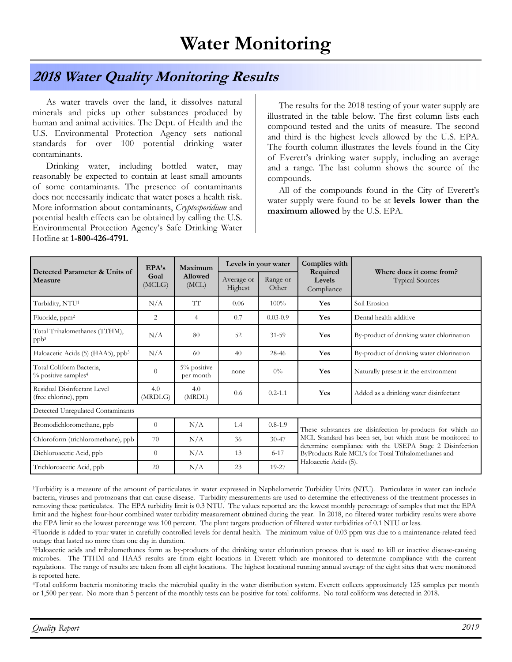#### 2018 Water Quality Monitoring Results

 As water travels over the land, it dissolves natural minerals and picks up other substances produced by human and animal activities. The Dept. of Health and the U.S. Environmental Protection Agency sets national standards for over 100 potential drinking water contaminants.

 Drinking water, including bottled water, may reasonably be expected to contain at least small amounts of some contaminants. The presence of contaminants does not necessarily indicate that water poses a health risk. More information about contaminants, Cryptosporidium and potential health effects can be obtained by calling the U.S. Environmental Protection Agency's Safe Drinking Water Hotline at 1-800-426-4791.

 The results for the 2018 testing of your water supply are illustrated in the table below. The first column lists each compound tested and the units of measure. The second and third is the highest levels allowed by the U.S. EPA. The fourth column illustrates the levels found in the City of Everett's drinking water supply, including an average and a range. The last column shows the source of the compounds.

 All of the compounds found in the City of Everett's water supply were found to be at **levels lower than the** maximum allowed by the U.S. EPA.

| Detected Parameter & Units of<br>Measure                    | EPA's<br>Goal<br>(MCLG) | Maximum<br>Allowed<br>(MCL) | Levels in your water  |                   | Complies with                                                                                                                                                                                                                                                       |                                                    |  |  |  |
|-------------------------------------------------------------|-------------------------|-----------------------------|-----------------------|-------------------|---------------------------------------------------------------------------------------------------------------------------------------------------------------------------------------------------------------------------------------------------------------------|----------------------------------------------------|--|--|--|
|                                                             |                         |                             | Average or<br>Highest | Range or<br>Other | Required<br>Levels<br>Compliance                                                                                                                                                                                                                                    | Where does it come from?<br><b>Typical Sources</b> |  |  |  |
| Turbidity, NTU <sup>1</sup>                                 | N/A                     | TT                          | 0.06                  | $100\%$           | Yes                                                                                                                                                                                                                                                                 | Soil Erosion                                       |  |  |  |
| Fluoride, ppm <sup>2</sup>                                  | 2                       | $\overline{4}$              | 0.7                   | $0.03 - 0.9$      | Yes                                                                                                                                                                                                                                                                 | Dental health additive                             |  |  |  |
| Total Trihalomethanes (TTHM),<br>ppb <sup>3</sup>           | N/A                     | 80                          | 52                    | $31 - 59$         | Yes                                                                                                                                                                                                                                                                 | By-product of drinking water chlorination          |  |  |  |
| Haloacetic Acids (5) (HAA5), ppb <sup>3</sup>               | N/A                     | 60                          | 40                    | 28-46             | Yes                                                                                                                                                                                                                                                                 | By-product of drinking water chlorination          |  |  |  |
| Total Coliform Bacteria,<br>% positive samples <sup>4</sup> | $\theta$                | 5% positive<br>per month    | none                  | $0\%$             | Yes                                                                                                                                                                                                                                                                 | Naturally present in the environment               |  |  |  |
| Residual Disinfectant Level<br>(free chlorine), ppm         | 4.0<br>(MRDLG)          | 4.0<br>(MRDL)               | 0.6                   | $0.2 - 1.1$       | Yes                                                                                                                                                                                                                                                                 | Added as a drinking water disinfectant             |  |  |  |
| Detected Unregulated Contaminants                           |                         |                             |                       |                   |                                                                                                                                                                                                                                                                     |                                                    |  |  |  |
| Bromodichloromethane, ppb                                   | $\theta$                | N/A                         | 1.4                   | $0.8 - 1.9$       | These substances are disinfection by-products for which no<br>MCL Standard has been set, but which must be monitored to<br>determine compliance with the USEPA Stage 2 Disinfection<br>ByProducts Rule MCL's for Total Trihalomethanes and<br>Haloacetic Acids (5). |                                                    |  |  |  |
| Chloroform (trichloromethane), ppb                          | 70                      | N/A                         | 36                    | $30 - 47$         |                                                                                                                                                                                                                                                                     |                                                    |  |  |  |
| Dichloroacetic Acid, ppb                                    | $\theta$                | N/A                         | 13                    | $6 - 17$          |                                                                                                                                                                                                                                                                     |                                                    |  |  |  |
| Trichloroacetic Acid, ppb                                   | 20                      | N/A                         | 23                    | 19-27             |                                                                                                                                                                                                                                                                     |                                                    |  |  |  |

<sup>1</sup>Turbidity is a measure of the amount of particulates in water expressed in Nephelometric Turbidity Units (NTU). Particulates in water can include bacteria, viruses and protozoans that can cause disease. Turbidity measurements are used to determine the effectiveness of the treatment processes in removing these particulates. The EPA turbidity limit is 0.3 NTU. The values reported are the lowest monthly percentage of samples that met the EPA limit and the highest four-hour combined water turbidity measurement obtained during the year. In 2018, no filtered water turbidity results were above the EPA limit so the lowest percentage was 100 percent. The plant targets production of filtered water turbidities of 0.1 NTU or less.

<sup>2</sup>Fluoride is added to your water in carefully controlled levels for dental health. The minimum value of 0.03 ppm was due to a maintenance-related feed outage that lasted no more than one day in duration.

<sup>3</sup>Haloacetic acids and trihalomethanes form as by-products of the drinking water chlorination process that is used to kill or inactive disease-causing microbes. The TTHM and HAA5 results are from eight locations in Everett which are monitored to determine compliance with the current regulations. The range of results are taken from all eight locations. The highest locational running annual average of the eight sites that were monitored is reported here.

<sup>4</sup>Total coliform bacteria monitoring tracks the microbial quality in the water distribution system. Everett collects approximately 125 samples per month or 1,500 per year. No more than 5 percent of the monthly tests can be positive for total coliforms. No total coliform was detected in 2018.